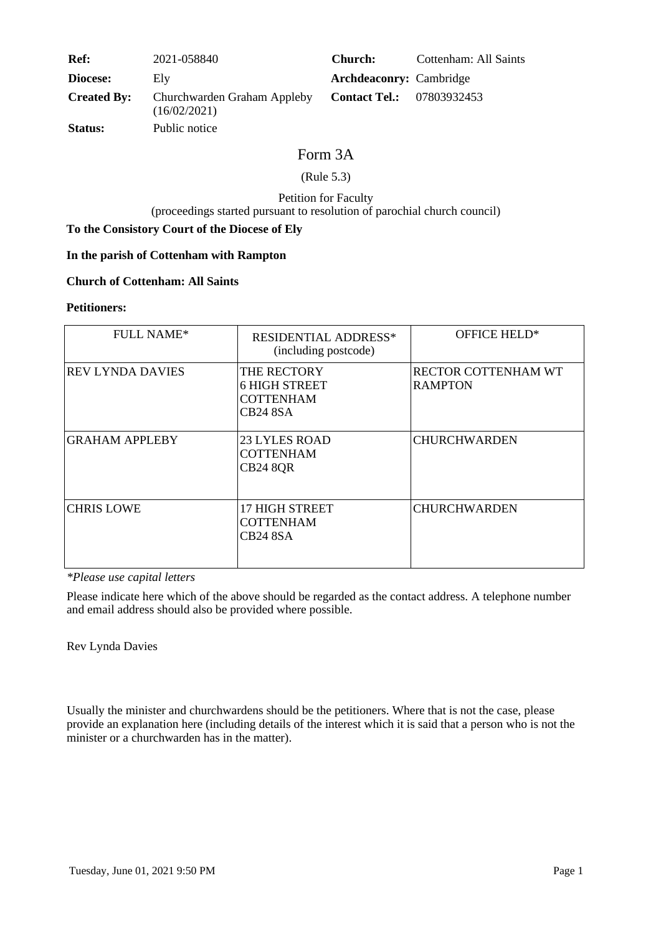| <b>Ref:</b>        | 2021-058840                                 | <b>Church:</b>                 | Cottenham: All Saints |
|--------------------|---------------------------------------------|--------------------------------|-----------------------|
| Diocese:           | Elv                                         | <b>Archdeaconry:</b> Cambridge |                       |
| <b>Created By:</b> | Churchwarden Graham Appleby<br>(16/02/2021) | <b>Contact Tel.:</b>           | 07803932453           |
| <b>Status:</b>     | Public notice                               |                                |                       |

# Form 3A

# (Rule 5.3)

## Petition for Faculty (proceedings started pursuant to resolution of parochial church council)

# **To the Consistory Court of the Diocese of Ely**

# **In the parish of Cottenham with Rampton**

#### **Church of Cottenham: All Saints**

#### **Petitioners:**

| <b>FULL NAME*</b>       | <b>RESIDENTIAL ADDRESS*</b><br>(including postcode)                        | OFFICE HELD*                          |
|-------------------------|----------------------------------------------------------------------------|---------------------------------------|
| <b>REV LYNDA DAVIES</b> | THE RECTORY<br><b>6 HIGH STREET</b><br><b>COTTENHAM</b><br><b>CB24 8SA</b> | RECTOR COTTENHAM WT<br><b>RAMPTON</b> |
| <b>GRAHAM APPLEBY</b>   | <b>23 LYLES ROAD</b><br><b>COTTENHAM</b><br><b>CB24 8QR</b>                | <b>CHURCHWARDEN</b>                   |
| <b>CHRIS LOWE</b>       | 17 HIGH STREET<br><b>COTTENHAM</b><br><b>CB24 8SA</b>                      | <b>CHURCHWARDEN</b>                   |

*\*Please use capital letters*

Please indicate here which of the above should be regarded as the contact address. A telephone number and email address should also be provided where possible.

Rev Lynda Davies

Usually the minister and churchwardens should be the petitioners. Where that is not the case, please provide an explanation here (including details of the interest which it is said that a person who is not the minister or a churchwarden has in the matter).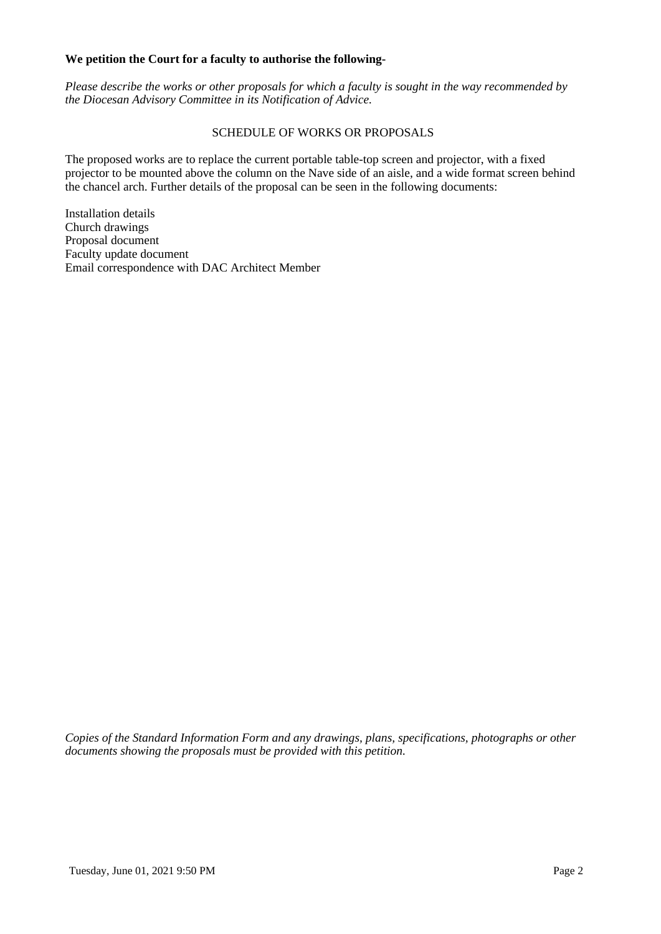#### **We petition the Court for a faculty to authorise the following-**

*Please describe the works or other proposals for which a faculty is sought in the way recommended by the Diocesan Advisory Committee in its Notification of Advice.*

### SCHEDULE OF WORKS OR PROPOSALS

The proposed works are to replace the current portable table-top screen and projector, with a fixed projector to be mounted above the column on the Nave side of an aisle, and a wide format screen behind the chancel arch. Further details of the proposal can be seen in the following documents:

Installation details Church drawings Proposal document Faculty update document Email correspondence with DAC Architect Member

*Copies of the Standard Information Form and any drawings, plans, specifications, photographs or other documents showing the proposals must be provided with this petition.*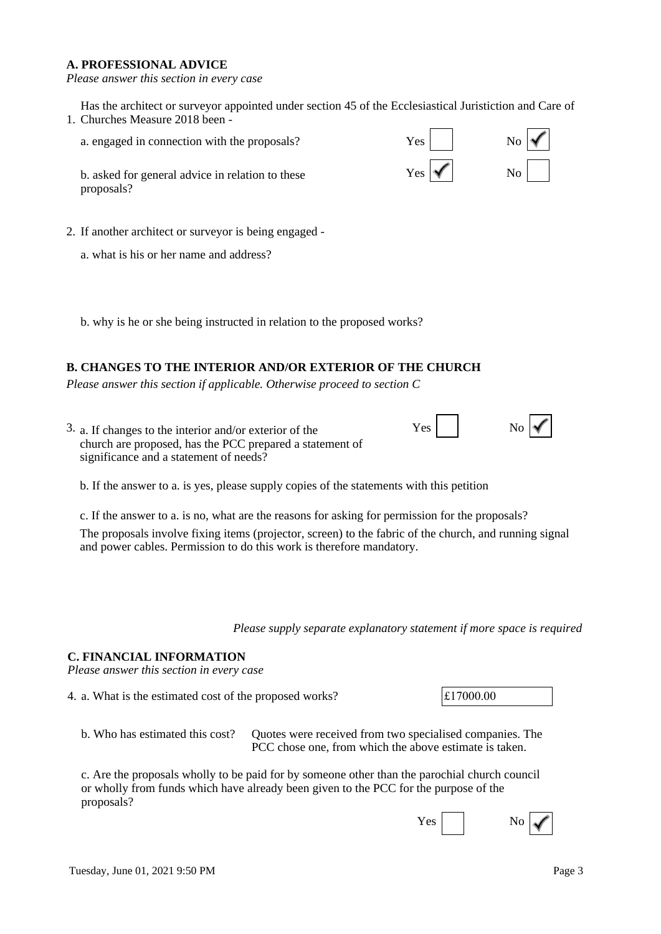### **A. PROFESSIONAL ADVICE**

*Please answer this section in every case*

1. Churches Measure 2018 been - Has the architect or surveyor appointed under section 45 of the Ecclesiastical Juristiction and Care of

a. engaged in connection with the proposals?  $Yes$   $\begin{array}{c|c}\n & Yes\n \end{array}$  No

b. asked for general advice in relation to these proposals?

- 2. If another architect or surveyor is being engaged
	- a. what is his or her name and address?

b. why is he or she being instructed in relation to the proposed works?

# **B. CHANGES TO THE INTERIOR AND/OR EXTERIOR OF THE CHURCH**

*Please answer this section if applicable. Otherwise proceed to section C*

3. a. If changes to the interior and/or exterior of the  $Y<sub>g</sub>$ church are proposed, has the PCC prepared a statement of significance and a statement of needs?

b. If the answer to a. is yes, please supply copies of the statements with this petition

c. If the answer to a. is no, what are the reasons for asking for permission for the proposals? The proposals involve fixing items (projector, screen) to the fabric of the church, and running signal and power cables. Permission to do this work is therefore mandatory.

*Please supply separate explanatory statement if more space is required*

### **C. FINANCIAL INFORMATION**

*Please answer this section in every case*

- 4. a. What is the estimated cost of the proposed works?  $\vert \text{\pounds}17000.00 \vert$ 
	- b. Who has estimated this cost? Quotes were received from two specialised companies. The PCC chose one, from which the above estimate is taken.

c. Are the proposals wholly to be paid for by someone other than the parochial church council or wholly from funds which have already been given to the PCC for the purpose of the proposals?





| No<br>ŝ |
|---------|
|         |

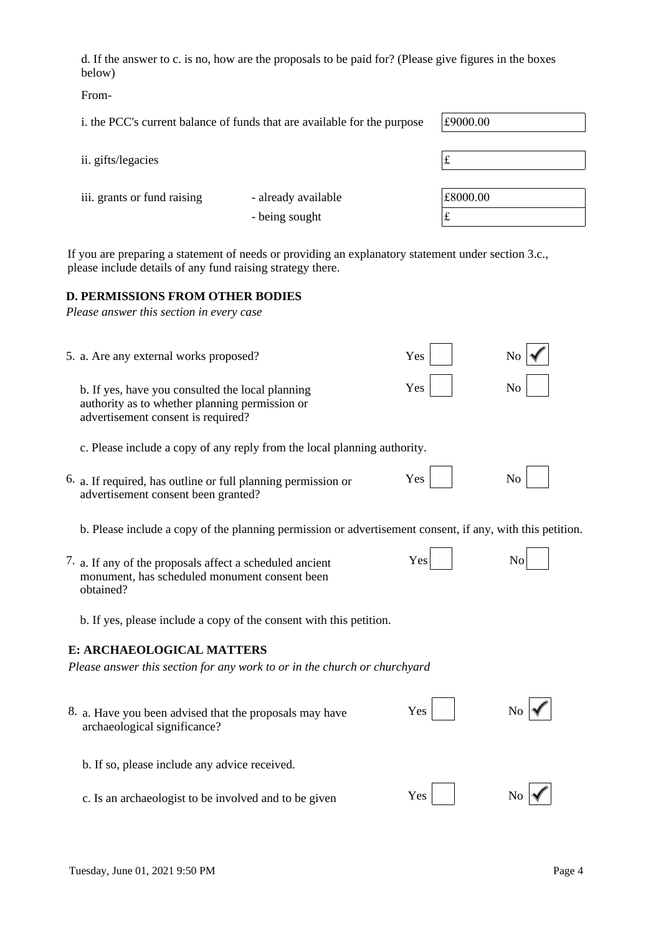d. If the answer to c. is no, how are the proposals to be paid for? (Please give figures in the boxes below)

From-

i. the PCC's current balance of funds that are available for the purpose  $\left| \text{\pounds}9000.00 \right|$ 

| ii. gifts/legacies          |                     | t        |
|-----------------------------|---------------------|----------|
| iii. grants or fund raising | - already available | £8000.00 |
|                             | - being sought      | t        |

If you are preparing a statement of needs or providing an explanatory statement under section 3.c., please include details of any fund raising strategy there.

#### **D. PERMISSIONS FROM OTHER BODIES**

*Please answer this section in every case*

| 5. a. Are any external works proposed?                                                                                                   | Yes | No             |
|------------------------------------------------------------------------------------------------------------------------------------------|-----|----------------|
| b. If yes, have you consulted the local planning<br>authority as to whether planning permission or<br>advertisement consent is required? | Yes | No             |
| c. Please include a copy of any reply from the local planning authority.                                                                 |     |                |
| 6. a. If required, has outline or full planning permission or<br>advertisement consent been granted?                                     | Yes | No             |
| b. Please include a copy of the planning permission or advertisement consent, if any, with this petition.                                |     |                |
| 7. a. If any of the proposals affect a scheduled ancient<br>monument, has scheduled monument consent been<br>obtained?                   | Yes | No             |
| b. If yes, please include a copy of the consent with this petition.                                                                      |     |                |
| E: ARCHAEOLOGICAL MATTERS                                                                                                                |     |                |
| Please answer this section for any work to or in the church or churchyard                                                                |     |                |
| 8. a. Have you been advised that the proposals may have<br>archaeological significance?                                                  | Yes | N <sub>0</sub> |
| b. If so, please include any advice received.                                                                                            |     |                |
| c. Is an archaeologist to be involved and to be given                                                                                    | Yes |                |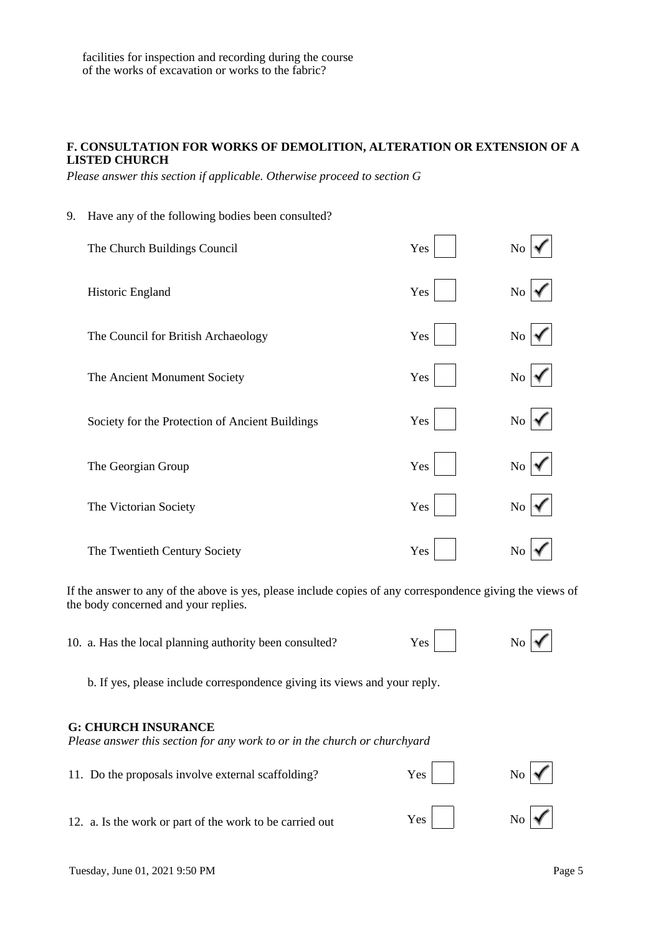9. Have any of the following bodies been consulted?

# **F. CONSULTATION FOR WORKS OF DEMOLITION, ALTERATION OR EXTENSION OF A LISTED CHURCH**

*Please answer this section if applicable. Otherwise proceed to section G*

| ັ                                               |     |          |
|-------------------------------------------------|-----|----------|
| The Church Buildings Council                    | Yes | No       |
| Historic England                                | Yes | $\rm No$ |
| The Council for British Archaeology             | Yes | No       |
| The Ancient Monument Society                    | Yes | No       |
| Society for the Protection of Ancient Buildings | Yes | $\rm No$ |
| The Georgian Group                              | Yes | No       |
| The Victorian Society                           | Yes | No       |
| The Twentieth Century Society                   | Yes | No       |

If the answer to any of the above is yes, please include copies of any correspondence giving the views of the body concerned and your replies.

10. a. Has the local planning authority been consulted?  $Yes$  No  $\sim$  No  $\sim$ 

b. If yes, please include correspondence giving its views and your reply.

#### **G: CHURCH INSURANCE**

*Please answer this section for any work to or in the church or churchyard*

| 11. Do the proposals involve external scaffolding?       | $Yes$ | $\overline{N_0}$   |
|----------------------------------------------------------|-------|--------------------|
| 12. a. Is the work or part of the work to be carried out | Yes   | $\overline{N_{0}}$ |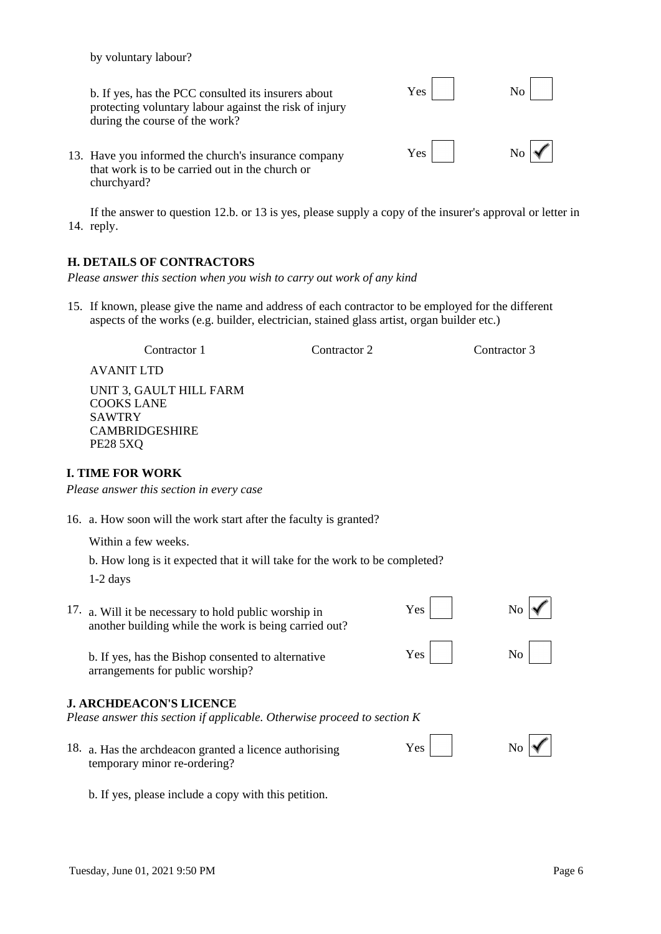by voluntary labour?

b. If yes, has the PCC consulted its insurers about  $Yes$  No protecting voluntary labour against the risk of injury during the course of the work?

13. Have you informed the church's insurance company Yes that work is to be carried out in the church or churchyard?

14. reply. If the answer to question 12.b. or 13 is yes, please supply a copy of the insurer's approval or letter in

# **H. DETAILS OF CONTRACTORS**

*Please answer this section when you wish to carry out work of any kind*

15. If known, please give the name and address of each contractor to be employed for the different aspects of the works (e.g. builder, electrician, stained glass artist, organ builder etc.)

Contractor 1 Contractor 2 Contractor 3

AVANIT LTD

UNIT 3, GAULT HILL FARM COOKS LANE SAWTRY CAMBRIDGESHIRE PE28 5XQ

# **I. TIME FOR WORK**

*Please answer this section in every case*

16. a. How soon will the work start after the faculty is granted?

Within a few weeks.

b. How long is it expected that it will take for the work to be completed?

1-2 days

| 17. a. Will it be necessary to hold public worship in<br>another building while the work is being carried out? | Yes        |  |
|----------------------------------------------------------------------------------------------------------------|------------|--|
| b. If yes, has the Bishop consented to alternative<br>arrangements for public worship?                         | $Yes \mid$ |  |
| <b>J. ARCHDEACON'S LICENCE</b><br>Please answer this section if applicable. Otherwise proceed to section K     |            |  |

- 18. a. Has the archdeacon granted a licence authorising Yes  $\sqrt{X}$ temporary minor re-ordering?
- 

b. If yes, please include a copy with this petition.

| No |  |
|----|--|
| No |  |